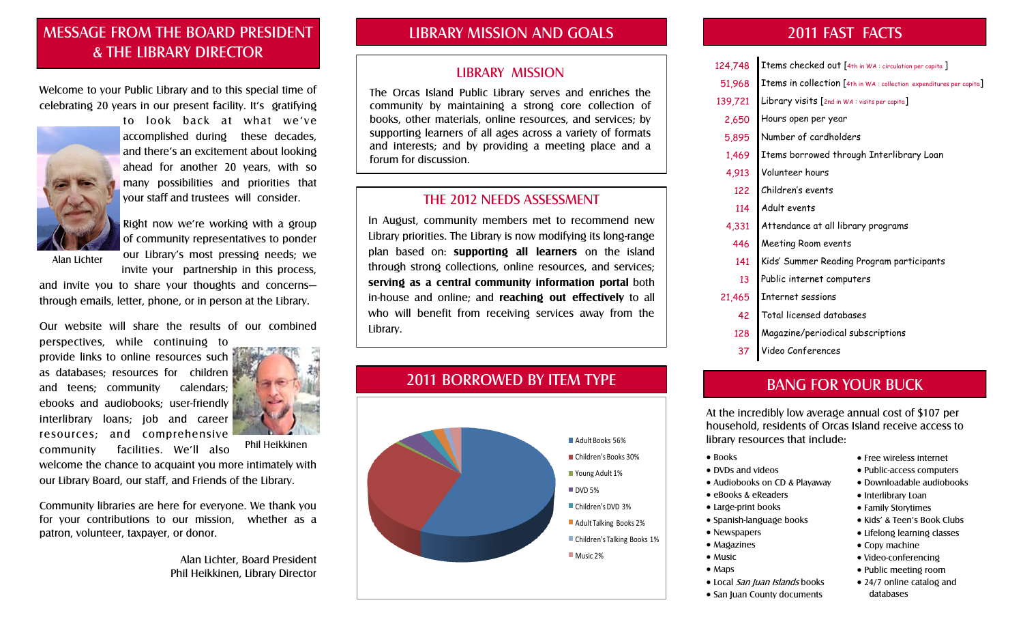## MESSAGE FROM THE BOARD PRESIDENT & THE LIBRARY DIRECTOR

Welcome to your Public Library and to this special time of celebrating 20 years in our present facility. It's gratifying



to look back at what we've accomplished during these decades, and there's an excitement about looking ahead for another 20 years, with so many possibilities and priorities that your staff and trustees will consider.



of community representatives to ponder our Library's most pressing needs; we invite your partnership in this process,

and invite you to share your thoughts and concerns through emails, letter, phone, or in person at the Library.

Our website will share the results of our combined

perspectives, while continuing to provide links to online resources such as databases; resources for children and teens; community calendars; ebooks and audiobooks; user-friendly interlibrary loans; job and career resources; and comprehensive community facilities. We'll also



Phil Heikkinen

welcome the chance to acquaint you more intimately with our Library Board, our staff, and Friends of the Library.

Community libraries are here for everyone. We thank you for your contributions to our mission, whether as a patron, volunteer, taxpayer, or donor.

> Alan Lichter, Board President Phil Heikkinen, Library Director

## LIBRARY MISSION AND GOALS

#### LIBRARY MISSION

The Orcas Island Public Library serves and enriches the community by maintaining a strong core collection of books, other materials, online resources, and services; by supporting learners of all ages across a variety of formats and interests; and by providing a meeting place and a forum for discussion.

## THE 2012 NEEDS ASSESSMENT

In August, community members met to recommend new Library priorities. The Library is now modifying its long-range plan based on: **supporting all learners** on the island through strong collections, online resources, and services; **serving as a central community information portal** both in-house and online; and **reaching out effectively** to all who will benefit from receiving services away from the Library.

## 2011 BORROWED BY ITEM TYPE



## 2011 FAST FACTS

- 124,748 Items checked out [4th in WA : circulation per capita ]
- 51,968 Items in collection [4th in WA : collection expenditures per capita]
- 139,721 Library visits [2nd in WA : visits per capita]
- 2,650 Hours open per year
- 5,895 Number of cardholders
- 1,469 Items borrowed through Interlibrary Loan
- 4,913 Volunteer hours
- 122 Children's events
- 114 Adult events
- 4,331 Attendance at all library programs
- 446 Meeting Room events
- 141 Kids' Summer Reading Program participants
- 13 Public internet computers
- 21,465 Internet sessions
	- 42 Total licensed databases
	- 128 Magazine/periodical subscriptions
	- 37 Video Conferences

## BANG FOR YOUR BUCK

At the incredibly low average annual cost of \$107 per household, residents of Orcas Island receive access to library resources that include:

- Books
- DVDs and videos
- Audiobooks on CD & Playaway
- eBooks & eReaders
- Large-print books
- Spanish-language books
- Newspapers
- Magazines
- Music
- Maps
- Local San Juan Islands books
- San Juan County documents
- Free wireless internet
- Public-access computers
- Downloadable audiobooks
- Interlibrary Loan
- Family Storytimes
- Kids' & Teen's Book Clubs
- Lifelong learning classes
- Copy machine
- Video-conferencing
- Public meeting room
- 24/7 online catalog and databases